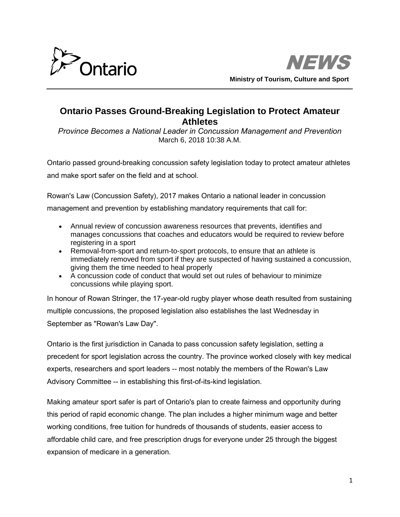



## **Ontario Passes Ground-Breaking Legislation to Protect Amateur Athletes**

*Province Becomes a National Leader in Concussion Management and Prevention* March 6, 2018 10:38 A.M.

Ontario passed ground-breaking concussion safety legislation today to protect amateur athletes and make sport safer on the field and at school.

Rowan's Law (Concussion Safety), 2017 makes Ontario a national leader in concussion management and prevention by establishing mandatory requirements that call for:

- Annual review of concussion awareness resources that prevents, identifies and manages concussions that coaches and educators would be required to review before registering in a sport
- Removal-from-sport and return-to-sport protocols, to ensure that an athlete is immediately removed from sport if they are suspected of having sustained a concussion, giving them the time needed to heal properly
- A concussion code of conduct that would set out rules of behaviour to minimize concussions while playing sport.

In honour of Rowan Stringer, the 17-year-old rugby player whose death resulted from sustaining multiple concussions, the proposed legislation also establishes the last Wednesday in September as "Rowan's Law Day".

Ontario is the first jurisdiction in Canada to pass concussion safety legislation, setting a precedent for sport legislation across the country. The province worked closely with key medical experts, researchers and sport leaders -- most notably the members of the Rowan's Law Advisory Committee -- in establishing this first-of-its-kind legislation.

Making amateur sport safer is part of Ontario's plan to create fairness and opportunity during this period of rapid economic change. The plan includes a higher minimum wage and better working conditions, free tuition for hundreds of thousands of students, easier access to affordable child care, and free prescription drugs for everyone under 25 through the biggest expansion of medicare in a generation.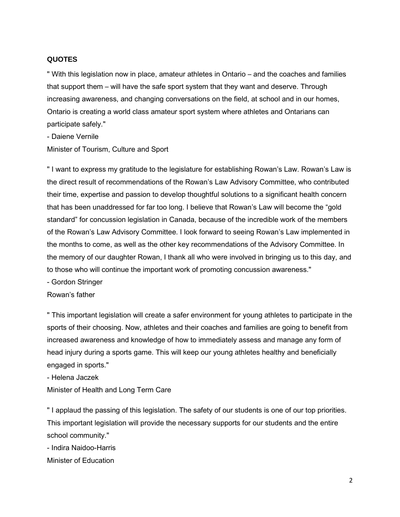## **QUOTES**

" With this legislation now in place, amateur athletes in Ontario – and the coaches and families that support them – will have the safe sport system that they want and deserve. Through increasing awareness, and changing conversations on the field, at school and in our homes, Ontario is creating a world class amateur sport system where athletes and Ontarians can participate safely."

- Daiene Vernile

Minister of Tourism, Culture and Sport

" I want to express my gratitude to the legislature for establishing Rowan's Law. Rowan's Law is the direct result of recommendations of the Rowan's Law Advisory Committee, who contributed their time, expertise and passion to develop thoughtful solutions to a significant health concern that has been unaddressed for far too long. I believe that Rowan's Law will become the "gold standard" for concussion legislation in Canada, because of the incredible work of the members of the Rowan's Law Advisory Committee. I look forward to seeing Rowan's Law implemented in the months to come, as well as the other key recommendations of the Advisory Committee. In the memory of our daughter Rowan, I thank all who were involved in bringing us to this day, and to those who will continue the important work of promoting concussion awareness."

- Gordon Stringer

Rowan's father

" This important legislation will create a safer environment for young athletes to participate in the sports of their choosing. Now, athletes and their coaches and families are going to benefit from increased awareness and knowledge of how to immediately assess and manage any form of head injury during a sports game. This will keep our young athletes healthy and beneficially engaged in sports."

- Helena Jaczek

Minister of Health and Long Term Care

" I applaud the passing of this legislation. The safety of our students is one of our top priorities. This important legislation will provide the necessary supports for our students and the entire school community."

- Indira Naidoo-Harris

Minister of Education